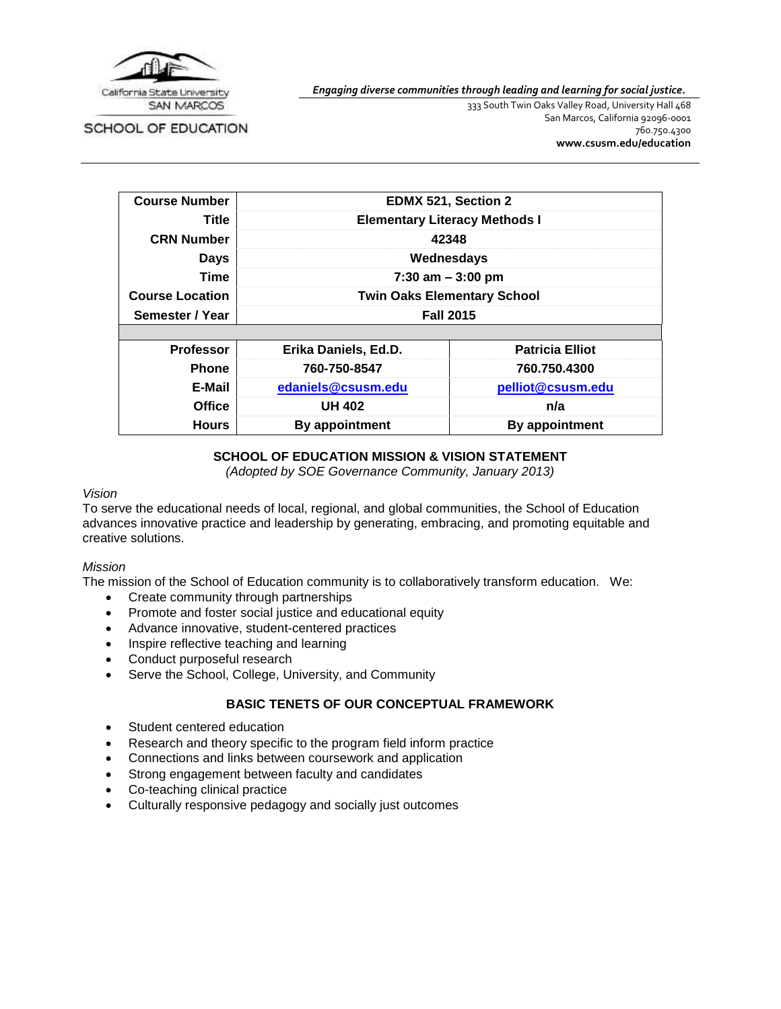

*Engaging diverse communities through leading and learning for social justice.*

SCHOOL OF EDUCATION

333 South Twin Oaks Valley Road, University Hall 468 San Marcos, California 92096-0001 760.750.4300 **[www.csusm.edu/education](http://www.csusm.edu/education)**

| <b>Course Number</b>   | EDMX 521, Section 2                  |                        |  |  |
|------------------------|--------------------------------------|------------------------|--|--|
| Title                  | <b>Elementary Literacy Methods I</b> |                        |  |  |
| <b>CRN Number</b>      | 42348                                |                        |  |  |
| <b>Days</b>            | Wednesdays                           |                        |  |  |
| Time                   | $7:30$ am $-3:00$ pm                 |                        |  |  |
| <b>Course Location</b> | <b>Twin Oaks Elementary School</b>   |                        |  |  |
| Semester / Year        | <b>Fall 2015</b>                     |                        |  |  |
|                        |                                      |                        |  |  |
| <b>Professor</b>       | Erika Daniels, Ed.D.                 | <b>Patricia Elliot</b> |  |  |
| <b>Phone</b>           | 760-750-8547                         | 760.750.4300           |  |  |
| E-Mail                 | edaniels@csusm.edu                   | pelliot@csusm.edu      |  |  |
| <b>Office</b>          | <b>UH 402</b>                        | n/a                    |  |  |
| <b>Hours</b>           | By appointment                       | <b>By appointment</b>  |  |  |

#### **SCHOOL OF EDUCATION MISSION & VISION STATEMENT**

*(Adopted by SOE Governance Community, January 2013)*

#### *Vision*

To serve the educational needs of local, regional, and global communities, the School of Education advances innovative practice and leadership by generating, embracing, and promoting equitable and creative solutions.

#### *Mission*

The mission of the School of Education community is to collaboratively transform education. We:

- Create community through partnerships
- Promote and foster social justice and educational equity
- Advance innovative, student-centered practices
- Inspire reflective teaching and learning
- Conduct purposeful research
- Serve the School, College, University, and Community

### **BASIC TENETS OF OUR CONCEPTUAL FRAMEWORK**

- Student centered education
- Research and theory specific to the program field inform practice
- Connections and links between coursework and application
- Strong engagement between faculty and candidates
- Co-teaching clinical practice
- Culturally responsive pedagogy and socially just outcomes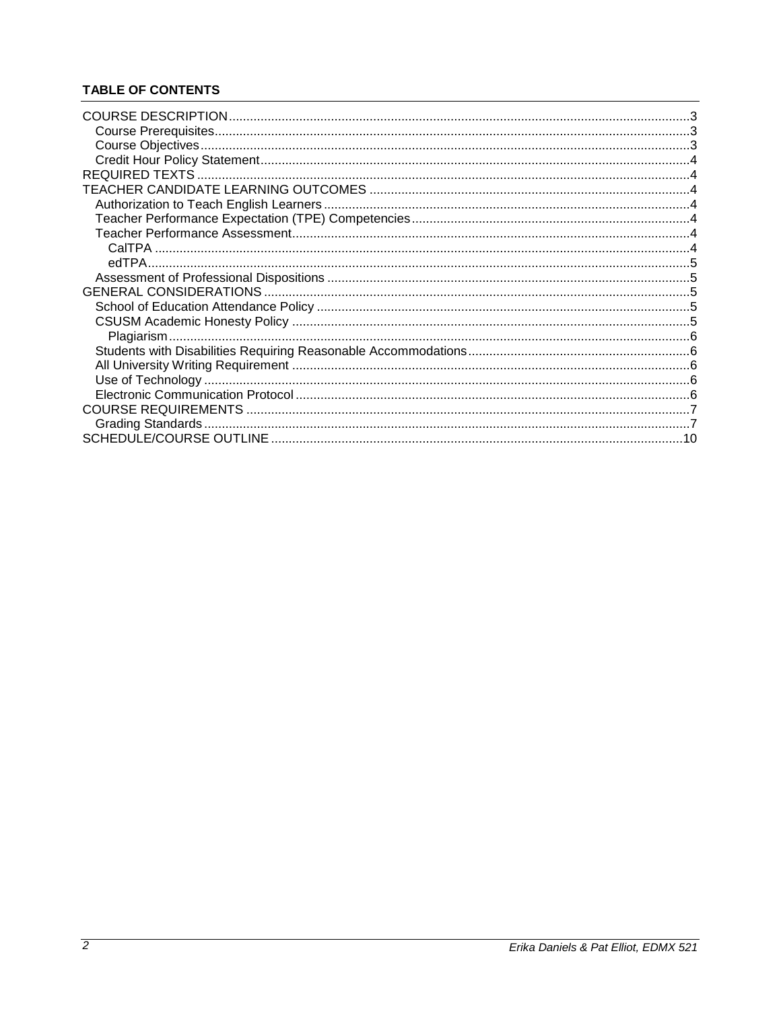# **TABLE OF CONTENTS**

| 10 |
|----|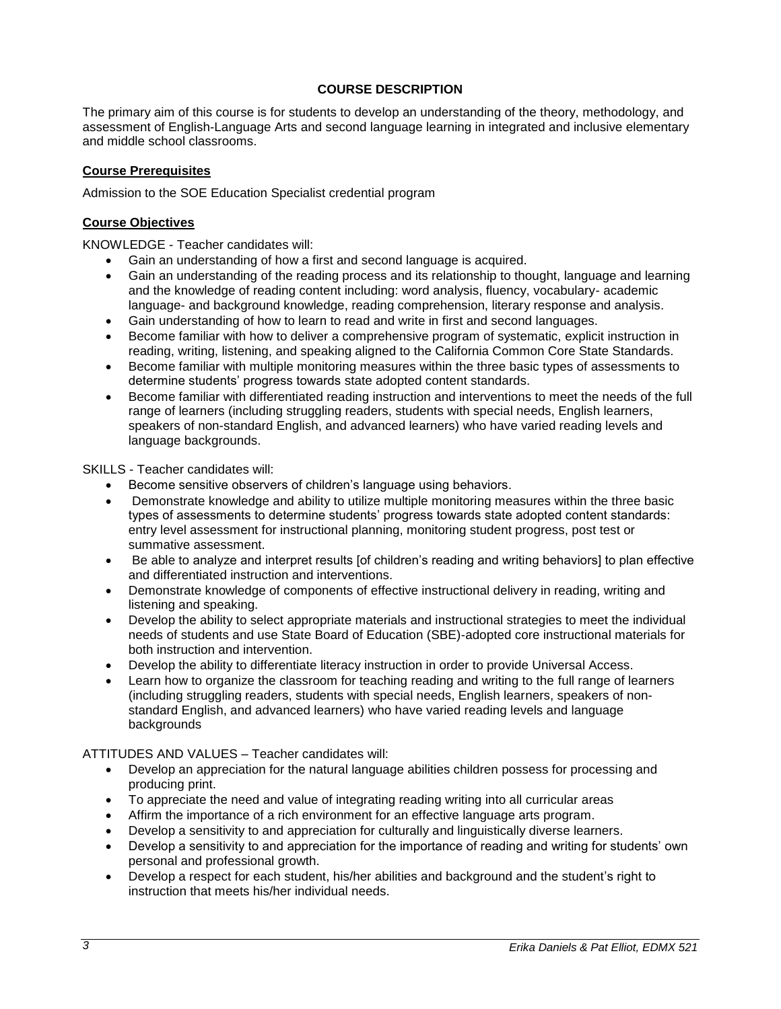### **COURSE DESCRIPTION**

<span id="page-2-0"></span>The primary aim of this course is for students to develop an understanding of the theory, methodology, and assessment of English-Language Arts and second language learning in integrated and inclusive elementary and middle school classrooms.

### <span id="page-2-1"></span>**Course Prerequisites**

Admission to the SOE Education Specialist credential program

### <span id="page-2-2"></span>**Course Objectives**

KNOWLEDGE - Teacher candidates will:

- Gain an understanding of how a first and second language is acquired.
- Gain an understanding of the reading process and its relationship to thought, language and learning and the knowledge of reading content including: word analysis, fluency, vocabulary- academic language- and background knowledge, reading comprehension, literary response and analysis.
- Gain understanding of how to learn to read and write in first and second languages.
- Become familiar with how to deliver a comprehensive program of systematic, explicit instruction in reading, writing, listening, and speaking aligned to the California Common Core State Standards.
- Become familiar with multiple monitoring measures within the three basic types of assessments to determine students' progress towards state adopted content standards.
- Become familiar with differentiated reading instruction and interventions to meet the needs of the full range of learners (including struggling readers, students with special needs, English learners, speakers of non-standard English, and advanced learners) who have varied reading levels and language backgrounds.

SKILLS - Teacher candidates will:

- Become sensitive observers of children's language using behaviors.
- Demonstrate knowledge and ability to utilize multiple monitoring measures within the three basic types of assessments to determine students' progress towards state adopted content standards: entry level assessment for instructional planning, monitoring student progress, post test or summative assessment.
- Be able to analyze and interpret results [of children's reading and writing behaviors] to plan effective and differentiated instruction and interventions.
- Demonstrate knowledge of components of effective instructional delivery in reading, writing and listening and speaking.
- Develop the ability to select appropriate materials and instructional strategies to meet the individual needs of students and use State Board of Education (SBE)-adopted core instructional materials for both instruction and intervention.
- Develop the ability to differentiate literacy instruction in order to provide Universal Access.
- Learn how to organize the classroom for teaching reading and writing to the full range of learners (including struggling readers, students with special needs, English learners, speakers of nonstandard English, and advanced learners) who have varied reading levels and language backgrounds

ATTITUDES AND VALUES – Teacher candidates will:

- Develop an appreciation for the natural language abilities children possess for processing and producing print.
- To appreciate the need and value of integrating reading writing into all curricular areas
- Affirm the importance of a rich environment for an effective language arts program.
- Develop a sensitivity to and appreciation for culturally and linguistically diverse learners.
- Develop a sensitivity to and appreciation for the importance of reading and writing for students' own personal and professional growth.
- Develop a respect for each student, his/her abilities and background and the student's right to instruction that meets his/her individual needs.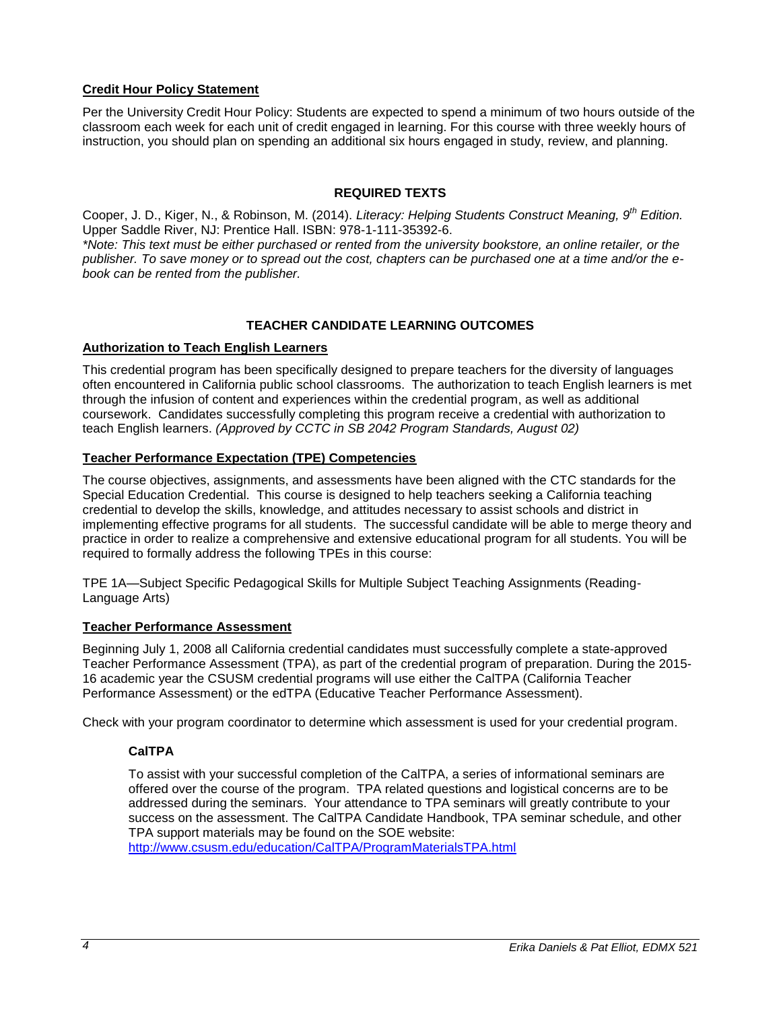### <span id="page-3-0"></span>**Credit Hour Policy Statement**

Per the University Credit Hour Policy: Students are expected to spend a minimum of two hours outside of the classroom each week for each unit of credit engaged in learning. For this course with three weekly hours of instruction, you should plan on spending an additional six hours engaged in study, review, and planning.

### **REQUIRED TEXTS**

<span id="page-3-1"></span>Cooper, J. D., Kiger, N., & Robinson, M. (2014). *Literacy: Helping Students Construct Meaning, 9th Edition.* Upper Saddle River, NJ: Prentice Hall. ISBN: 978-1-111-35392-6.

*\*Note: This text must be either purchased or rented from the university bookstore, an online retailer, or the publisher. To save money or to spread out the cost, chapters can be purchased one at a time and/or the ebook can be rented from the publisher.*

### **TEACHER CANDIDATE LEARNING OUTCOMES**

#### <span id="page-3-3"></span><span id="page-3-2"></span>**Authorization to Teach English Learners**

This credential program has been specifically designed to prepare teachers for the diversity of languages often encountered in California public school classrooms. The authorization to teach English learners is met through the infusion of content and experiences within the credential program, as well as additional coursework. Candidates successfully completing this program receive a credential with authorization to teach English learners. *(Approved by CCTC in SB 2042 Program Standards, August 02)*

### <span id="page-3-4"></span>**Teacher Performance Expectation (TPE) Competencies**

The course objectives, assignments, and assessments have been aligned with the CTC standards for the Special Education Credential. This course is designed to help teachers seeking a California teaching credential to develop the skills, knowledge, and attitudes necessary to assist schools and district in implementing effective programs for all students. The successful candidate will be able to merge theory and practice in order to realize a comprehensive and extensive educational program for all students. You will be required to formally address the following TPEs in this course:

TPE 1A—Subject Specific Pedagogical Skills for Multiple Subject Teaching Assignments (Reading-Language Arts)

### <span id="page-3-5"></span>**Teacher Performance Assessment**

Beginning July 1, 2008 all California credential candidates must successfully complete a state-approved Teacher Performance Assessment (TPA), as part of the credential program of preparation. During the 2015- 16 academic year the CSUSM credential programs will use either the CalTPA (California Teacher Performance Assessment) or the edTPA (Educative Teacher Performance Assessment).

<span id="page-3-6"></span>Check with your program coordinator to determine which assessment is used for your credential program.

### **CalTPA**

To assist with your successful completion of the CalTPA, a series of informational seminars are offered over the course of the program. TPA related questions and logistical concerns are to be addressed during the seminars. Your attendance to TPA seminars will greatly contribute to your success on the assessment. The CalTPA Candidate Handbook, TPA seminar schedule, and other TPA support materials may be found on the SOE website: <http://www.csusm.edu/education/CalTPA/ProgramMaterialsTPA.html>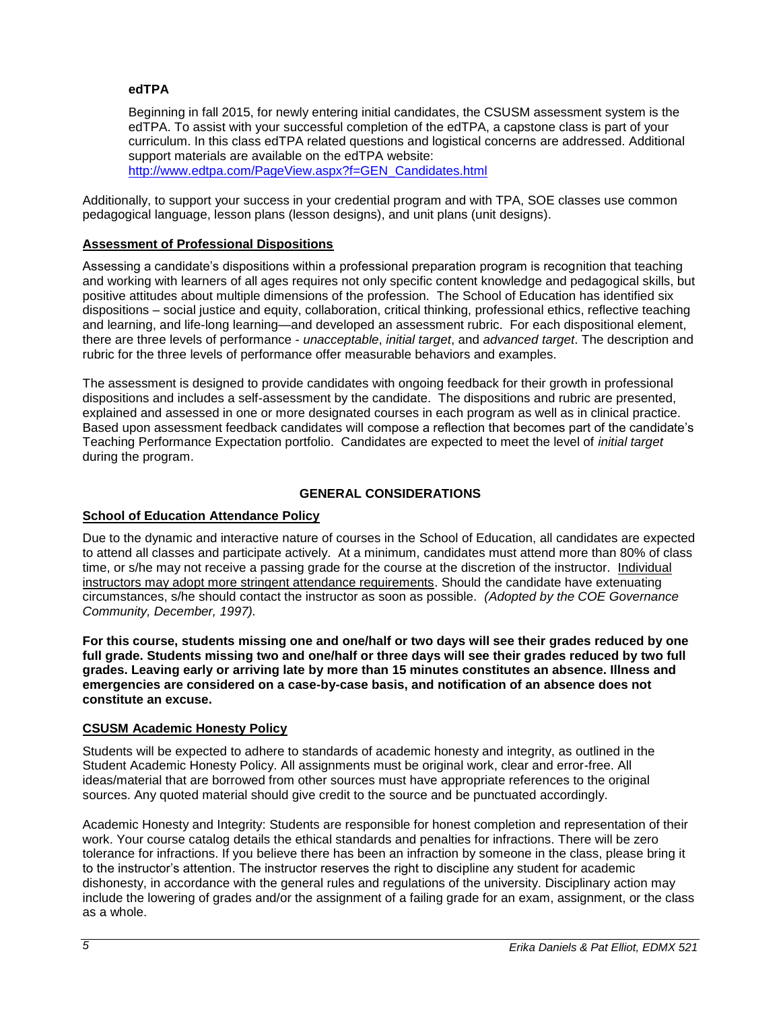### <span id="page-4-0"></span>**edTPA**

Beginning in fall 2015, for newly entering initial candidates, the CSUSM assessment system is the edTPA. To assist with your successful completion of the edTPA, a capstone class is part of your curriculum. In this class edTPA related questions and logistical concerns are addressed. Additional support materials are available on the edTPA website: [http://www.edtpa.com/PageView.aspx?f=GEN\\_Candidates.html](http://www.edtpa.com/PageView.aspx?f=GEN_Candidates.html)

Additionally, to support your success in your credential program and with TPA, SOE classes use common

pedagogical language, lesson plans (lesson designs), and unit plans (unit designs).

# <span id="page-4-1"></span>**Assessment of Professional Dispositions**

Assessing a candidate's dispositions within a professional preparation program is recognition that teaching and working with learners of all ages requires not only specific content knowledge and pedagogical skills, but positive attitudes about multiple dimensions of the profession. The School of Education has identified six dispositions – social justice and equity, collaboration, critical thinking, professional ethics, reflective teaching and learning, and life-long learning—and developed an assessment rubric. For each dispositional element, there are three levels of performance - *unacceptable*, *initial target*, and *advanced target*. The description and rubric for the three levels of performance offer measurable behaviors and examples.

The assessment is designed to provide candidates with ongoing feedback for their growth in professional dispositions and includes a self-assessment by the candidate. The dispositions and rubric are presented, explained and assessed in one or more designated courses in each program as well as in clinical practice. Based upon assessment feedback candidates will compose a reflection that becomes part of the candidate's Teaching Performance Expectation portfolio. Candidates are expected to meet the level of *initial target* during the program.

### **GENERAL CONSIDERATIONS**

### <span id="page-4-3"></span><span id="page-4-2"></span>**School of Education Attendance Policy**

Due to the dynamic and interactive nature of courses in the School of Education, all candidates are expected to attend all classes and participate actively. At a minimum, candidates must attend more than 80% of class time, or s/he may not receive a passing grade for the course at the discretion of the instructor. Individual instructors may adopt more stringent attendance requirements. Should the candidate have extenuating circumstances, s/he should contact the instructor as soon as possible. *(Adopted by the COE Governance Community, December, 1997).*

**For this course, students missing one and one/half or two days will see their grades reduced by one full grade. Students missing two and one/half or three days will see their grades reduced by two full grades. Leaving early or arriving late by more than 15 minutes constitutes an absence. Illness and emergencies are considered on a case-by-case basis, and notification of an absence does not constitute an excuse.**

### <span id="page-4-4"></span>**CSUSM Academic Honesty Policy**

Students will be expected to adhere to standards of academic honesty and integrity, as outlined in the Student Academic Honesty Policy. All assignments must be original work, clear and error-free. All ideas/material that are borrowed from other sources must have appropriate references to the original sources. Any quoted material should give credit to the source and be punctuated accordingly.

Academic Honesty and Integrity: Students are responsible for honest completion and representation of their work. Your course catalog details the ethical standards and penalties for infractions. There will be zero tolerance for infractions. If you believe there has been an infraction by someone in the class, please bring it to the instructor's attention. The instructor reserves the right to discipline any student for academic dishonesty, in accordance with the general rules and regulations of the university. Disciplinary action may include the lowering of grades and/or the assignment of a failing grade for an exam, assignment, or the class as a whole.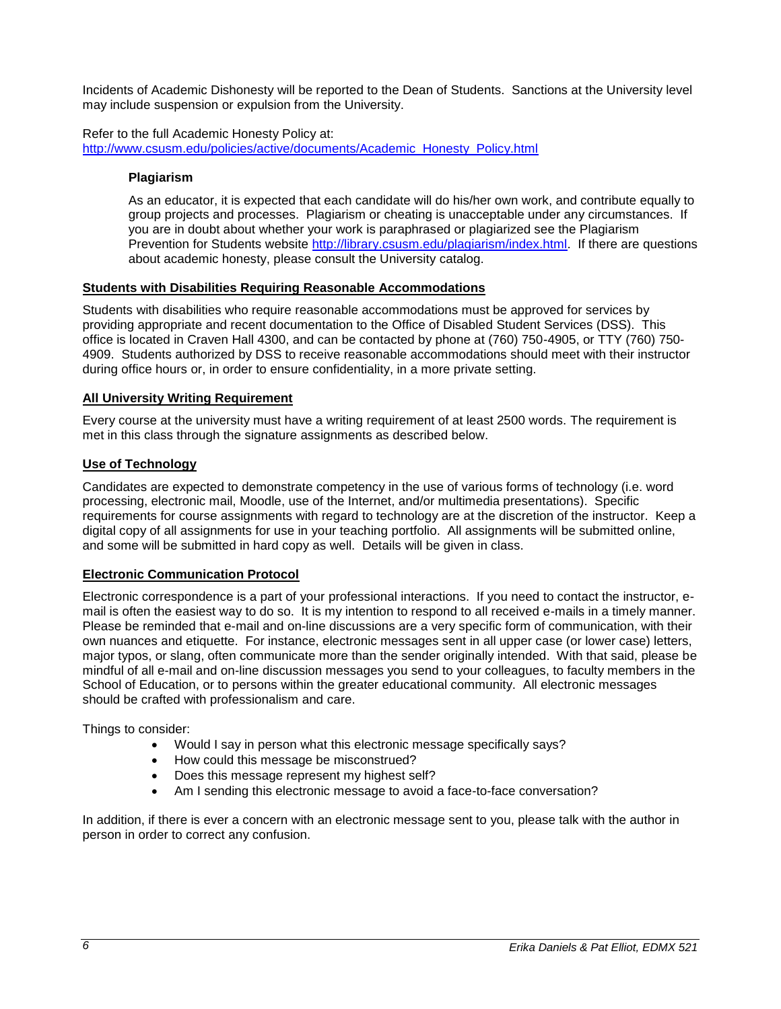Incidents of Academic Dishonesty will be reported to the Dean of Students. Sanctions at the University level may include suspension or expulsion from the University.

<span id="page-5-0"></span>Refer to the full Academic Honesty Policy at: [http://www.csusm.edu/policies/active/documents/Academic\\_Honesty\\_Policy.html](http://www.csusm.edu/policies/active/documents/Academic_Honesty_Policy.html)

### **Plagiarism**

As an educator, it is expected that each candidate will do his/her own work, and contribute equally to group projects and processes. Plagiarism or cheating is unacceptable under any circumstances. If you are in doubt about whether your work is paraphrased or plagiarized see the Plagiarism Prevention for Students website [http://library.csusm.edu/plagiarism/index.html.](http://library.csusm.edu/plagiarism/index.html) If there are questions about academic honesty, please consult the University catalog.

#### <span id="page-5-1"></span>**Students with Disabilities Requiring Reasonable Accommodations**

Students with disabilities who require reasonable accommodations must be approved for services by providing appropriate and recent documentation to the Office of Disabled Student Services (DSS). This office is located in Craven Hall 4300, and can be contacted by phone at (760) 750-4905, or TTY (760) 750- 4909. Students authorized by DSS to receive reasonable accommodations should meet with their instructor during office hours or, in order to ensure confidentiality, in a more private setting.

#### <span id="page-5-2"></span>**All University Writing Requirement**

Every course at the university must have a writing requirement of at least 2500 words. The requirement is met in this class through the signature assignments as described below.

#### <span id="page-5-3"></span>**Use of Technology**

Candidates are expected to demonstrate competency in the use of various forms of technology (i.e. word processing, electronic mail, Moodle, use of the Internet, and/or multimedia presentations). Specific requirements for course assignments with regard to technology are at the discretion of the instructor. Keep a digital copy of all assignments for use in your teaching portfolio. All assignments will be submitted online, and some will be submitted in hard copy as well. Details will be given in class.

#### <span id="page-5-4"></span>**Electronic Communication Protocol**

Electronic correspondence is a part of your professional interactions. If you need to contact the instructor, email is often the easiest way to do so. It is my intention to respond to all received e-mails in a timely manner. Please be reminded that e-mail and on-line discussions are a very specific form of communication, with their own nuances and etiquette. For instance, electronic messages sent in all upper case (or lower case) letters, major typos, or slang, often communicate more than the sender originally intended. With that said, please be mindful of all e-mail and on-line discussion messages you send to your colleagues, to faculty members in the School of Education, or to persons within the greater educational community. All electronic messages should be crafted with professionalism and care.

Things to consider:

- Would I say in person what this electronic message specifically says?
- How could this message be misconstrued?
- Does this message represent my highest self?
- Am I sending this electronic message to avoid a face-to-face conversation?

In addition, if there is ever a concern with an electronic message sent to you, please talk with the author in person in order to correct any confusion.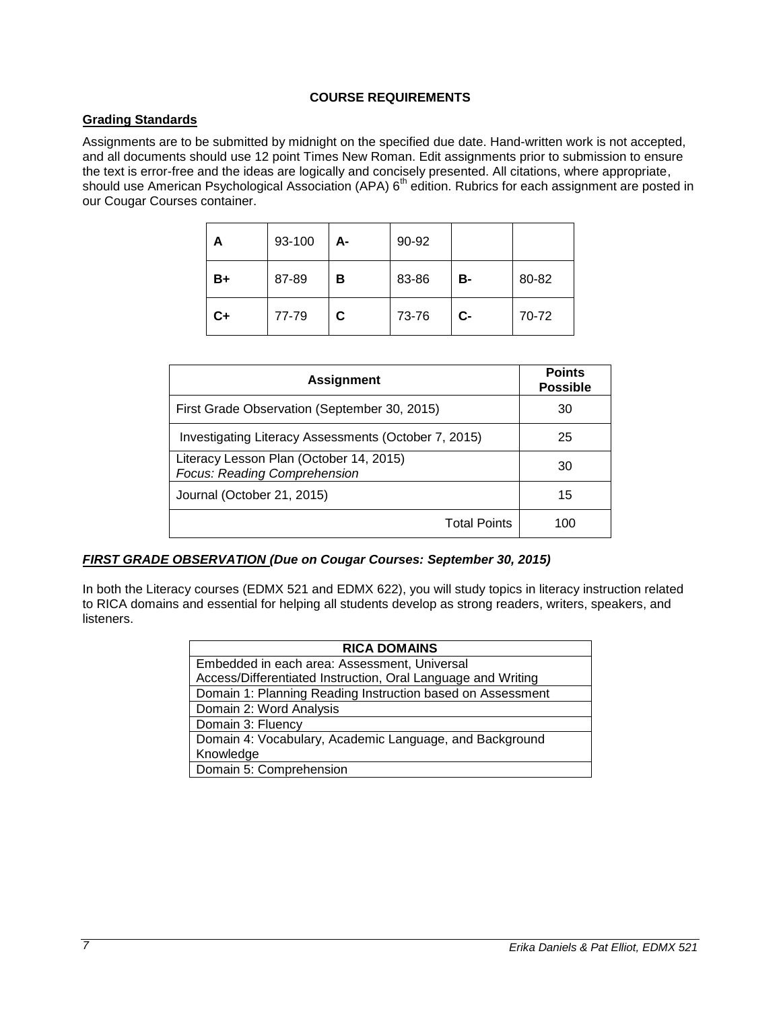### **COURSE REQUIREMENTS**

## <span id="page-6-1"></span><span id="page-6-0"></span>**Grading Standards**

Assignments are to be submitted by midnight on the specified due date. Hand-written work is not accepted, and all documents should use 12 point Times New Roman. Edit assignments prior to submission to ensure the text is error-free and the ideas are logically and concisely presented. All citations, where appropriate, should use American Psychological Association (APA) 6<sup>th</sup> edition. Rubrics for each assignment are posted in our Cougar Courses container.

| А    | 93-100 | А- | 90-92 |           |       |
|------|--------|----|-------|-----------|-------|
| B+   | 87-89  | в  | 83-86 | <b>B-</b> | 80-82 |
| $C+$ | 77-79  | C  | 73-76 | $C-$      | 70-72 |

| <b>Assignment</b>                                                       | <b>Points</b><br><b>Possible</b> |
|-------------------------------------------------------------------------|----------------------------------|
| First Grade Observation (September 30, 2015)                            | 30                               |
| Investigating Literacy Assessments (October 7, 2015)                    | 25                               |
| Literacy Lesson Plan (October 14, 2015)<br>Focus: Reading Comprehension | 30                               |
| Journal (October 21, 2015)                                              | 15                               |
| <b>Total Points</b>                                                     | 100                              |

### *FIRST GRADE OBSERVATION (Due on Cougar Courses: September 30, 2015)*

In both the Literacy courses (EDMX 521 and EDMX 622), you will study topics in literacy instruction related to RICA domains and essential for helping all students develop as strong readers, writers, speakers, and listeners.

| <b>RICA DOMAINS</b>                                          |  |  |
|--------------------------------------------------------------|--|--|
| Embedded in each area: Assessment, Universal                 |  |  |
| Access/Differentiated Instruction, Oral Language and Writing |  |  |
| Domain 1: Planning Reading Instruction based on Assessment   |  |  |
| Domain 2: Word Analysis                                      |  |  |
| Domain 3: Fluency                                            |  |  |
| Domain 4: Vocabulary, Academic Language, and Background      |  |  |
| Knowledge                                                    |  |  |
| Domain 5: Comprehension                                      |  |  |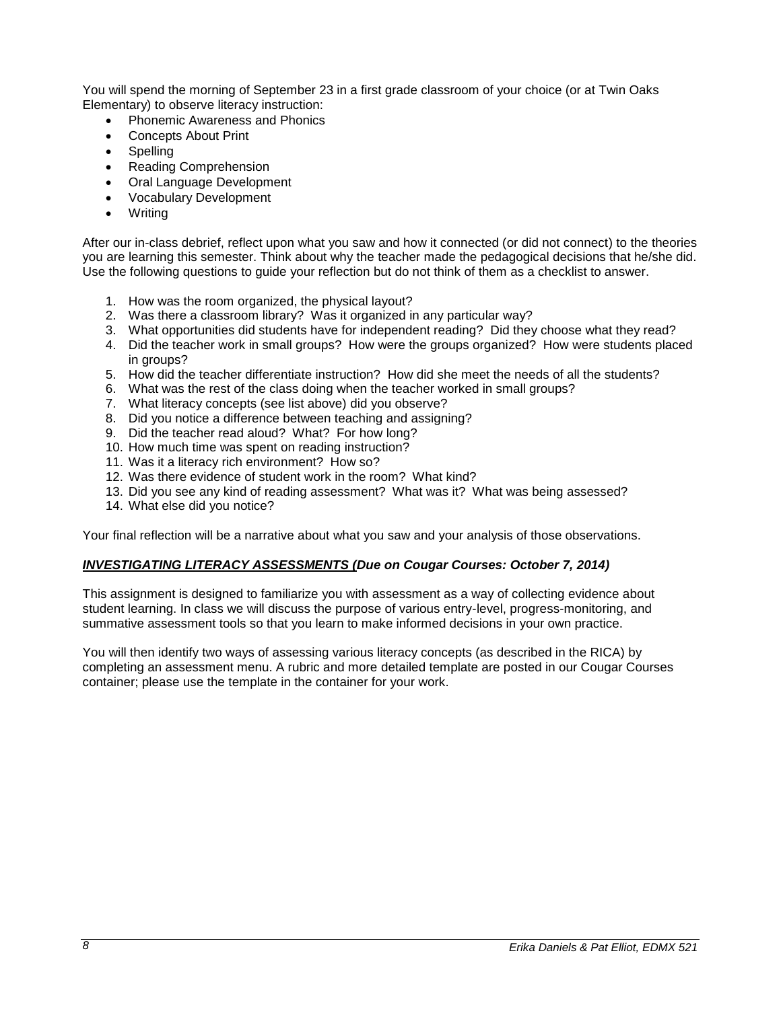You will spend the morning of September 23 in a first grade classroom of your choice (or at Twin Oaks Elementary) to observe literacy instruction:

- Phonemic Awareness and Phonics
- Concepts About Print
- **Spelling**
- Reading Comprehension
- Oral Language Development
- Vocabulary Development
- Writing

After our in-class debrief, reflect upon what you saw and how it connected (or did not connect) to the theories you are learning this semester. Think about why the teacher made the pedagogical decisions that he/she did. Use the following questions to guide your reflection but do not think of them as a checklist to answer.

- 1. How was the room organized, the physical layout?
- 2. Was there a classroom library? Was it organized in any particular way?
- 3. What opportunities did students have for independent reading? Did they choose what they read?
- 4. Did the teacher work in small groups? How were the groups organized? How were students placed in groups?
- 5. How did the teacher differentiate instruction? How did she meet the needs of all the students?
- 6. What was the rest of the class doing when the teacher worked in small groups?
- 7. What literacy concepts (see list above) did you observe?
- 8. Did you notice a difference between teaching and assigning?
- 9. Did the teacher read aloud? What? For how long?
- 10. How much time was spent on reading instruction?
- 11. Was it a literacy rich environment? How so?
- 12. Was there evidence of student work in the room? What kind?
- 13. Did you see any kind of reading assessment? What was it? What was being assessed?
- 14. What else did you notice?

Your final reflection will be a narrative about what you saw and your analysis of those observations.

### *INVESTIGATING LITERACY ASSESSMENTS (Due on Cougar Courses: October 7, 2014)*

This assignment is designed to familiarize you with assessment as a way of collecting evidence about student learning. In class we will discuss the purpose of various entry-level, progress-monitoring, and summative assessment tools so that you learn to make informed decisions in your own practice.

You will then identify two ways of assessing various literacy concepts (as described in the RICA) by completing an assessment menu. A rubric and more detailed template are posted in our Cougar Courses container; please use the template in the container for your work.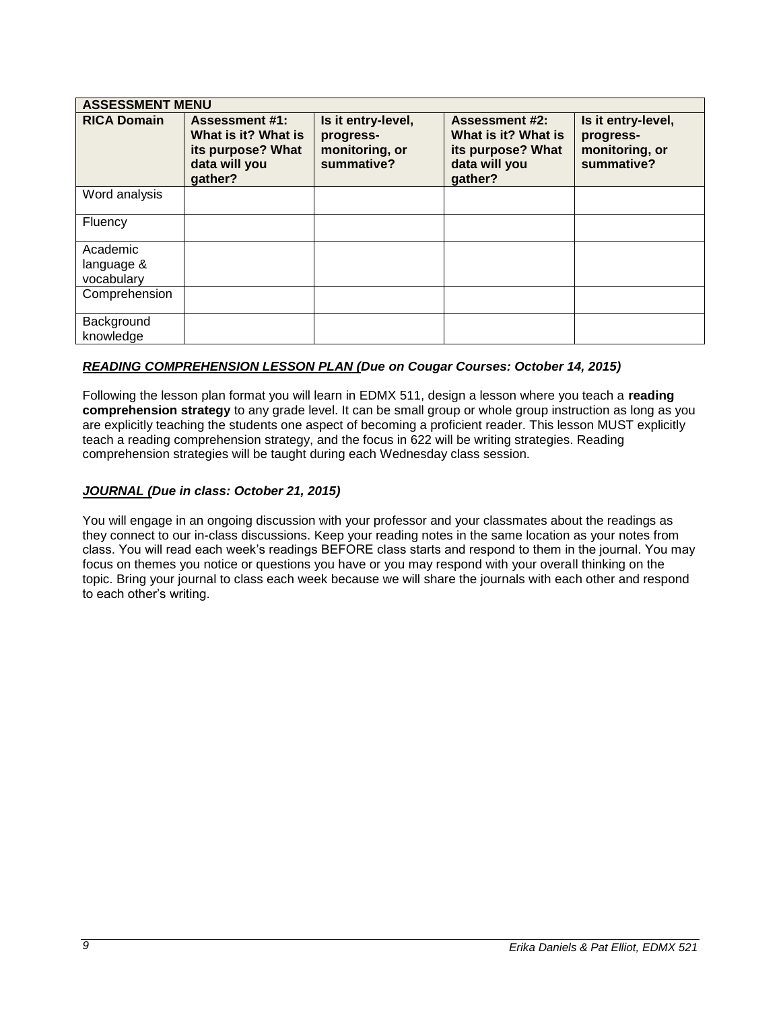| <b>ASSESSMENT MENU</b>               |                                                                                               |                                                                 |                                                                                               |                                                                 |
|--------------------------------------|-----------------------------------------------------------------------------------------------|-----------------------------------------------------------------|-----------------------------------------------------------------------------------------------|-----------------------------------------------------------------|
| <b>RICA Domain</b>                   | <b>Assessment #1:</b><br>What is it? What is<br>its purpose? What<br>data will you<br>gather? | Is it entry-level,<br>progress-<br>monitoring, or<br>summative? | <b>Assessment #2:</b><br>What is it? What is<br>its purpose? What<br>data will you<br>gather? | Is it entry-level,<br>progress-<br>monitoring, or<br>summative? |
| Word analysis                        |                                                                                               |                                                                 |                                                                                               |                                                                 |
| Fluency                              |                                                                                               |                                                                 |                                                                                               |                                                                 |
| Academic<br>language &<br>vocabulary |                                                                                               |                                                                 |                                                                                               |                                                                 |
| Comprehension                        |                                                                                               |                                                                 |                                                                                               |                                                                 |
| Background<br>knowledge              |                                                                                               |                                                                 |                                                                                               |                                                                 |

### *READING COMPREHENSION LESSON PLAN (Due on Cougar Courses: October 14, 2015)*

Following the lesson plan format you will learn in EDMX 511, design a lesson where you teach a **reading comprehension strategy** to any grade level. It can be small group or whole group instruction as long as you are explicitly teaching the students one aspect of becoming a proficient reader. This lesson MUST explicitly teach a reading comprehension strategy, and the focus in 622 will be writing strategies. Reading comprehension strategies will be taught during each Wednesday class session.

### *JOURNAL (Due in class: October 21, 2015)*

You will engage in an ongoing discussion with your professor and your classmates about the readings as they connect to our in-class discussions. Keep your reading notes in the same location as your notes from class. You will read each week's readings BEFORE class starts and respond to them in the journal. You may focus on themes you notice or questions you have or you may respond with your overall thinking on the topic. Bring your journal to class each week because we will share the journals with each other and respond to each other's writing.